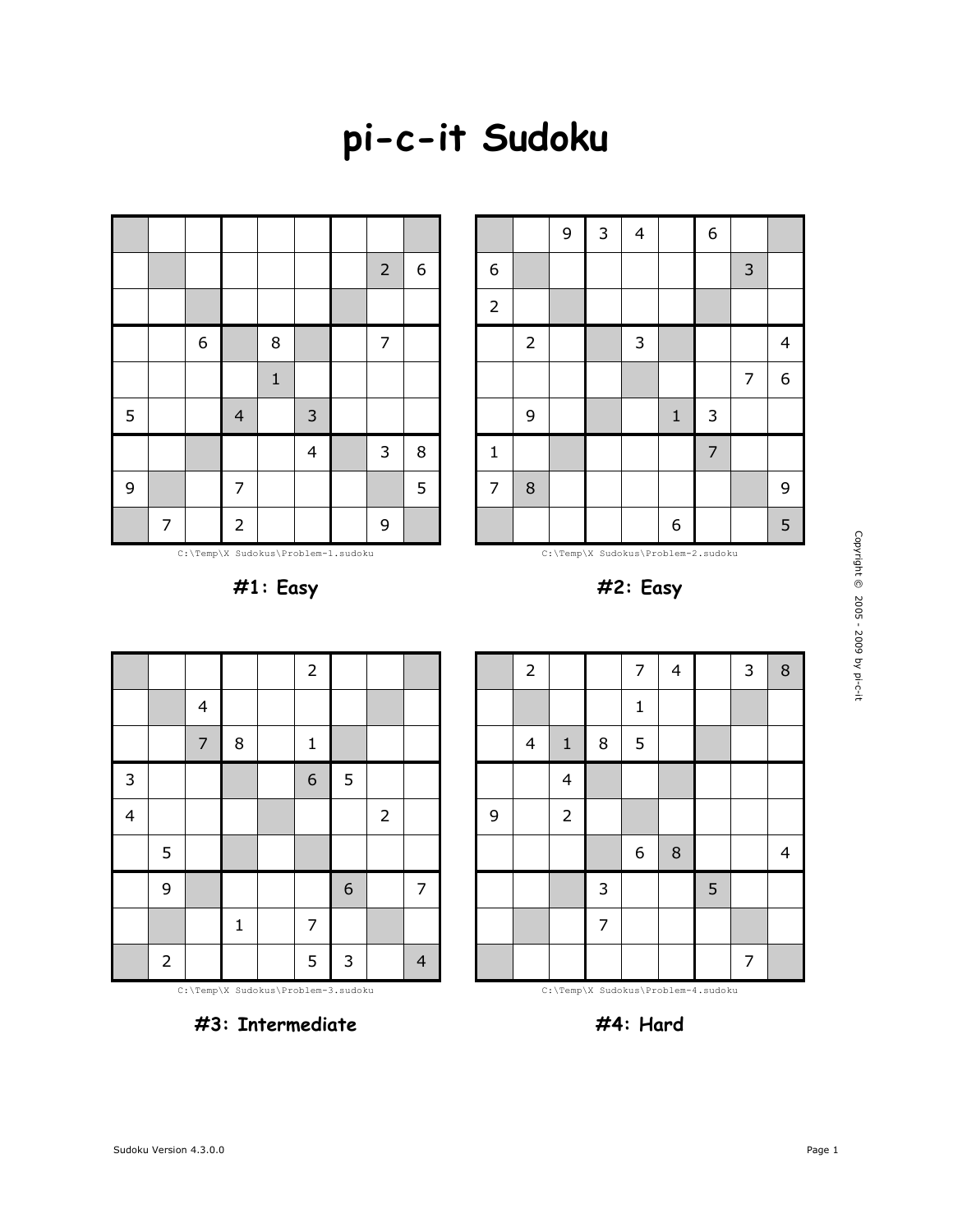## **pi-c-it Sudoku**



C:\Temp\X Sudokus\Problem-1.sudoku

**#1: Easy**



C:\Temp\X Sudokus\Problem-2.sudoku



2 | | | 7 | 4 | | 3 | 8

|                         |                |                |             | $\overline{2}$ |                  |                |                |
|-------------------------|----------------|----------------|-------------|----------------|------------------|----------------|----------------|
|                         |                | $\overline{4}$ |             |                |                  |                |                |
|                         |                | $\overline{7}$ | $\bf 8$     | $\mathbf{1}$   |                  |                |                |
| 3                       |                |                |             | 6              | 5                |                |                |
| $\overline{\mathbf{4}}$ |                |                |             |                |                  | $\overline{2}$ |                |
|                         | 5              |                |             |                |                  |                |                |
|                         | 9              |                |             |                | $\boldsymbol{6}$ |                | 7              |
|                         |                |                | $\mathbf 1$ | $\overline{7}$ |                  |                |                |
|                         | $\overline{2}$ |                |             | 5              | $\mathbf{3}$     |                | $\overline{4}$ |







**#4: Hard**